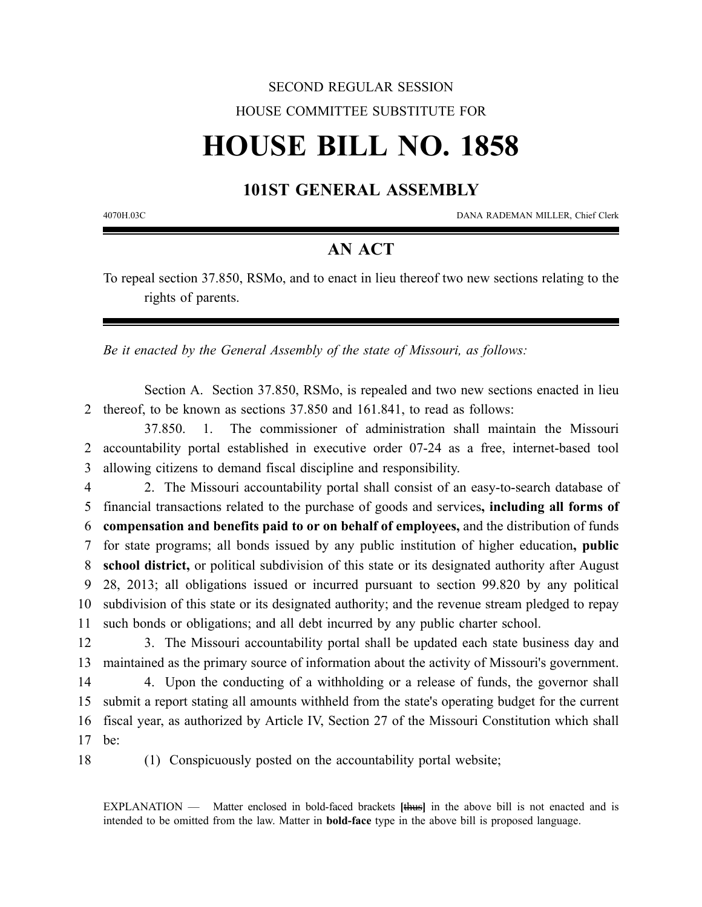## SECOND REGULAR SESSION HOUSE COMMITTEE SUBSTITUTE FOR

# **HOUSE BILL NO. 1858**

### **101ST GENERAL ASSEMBLY**

4070H.03C DANA RADEMAN MILLER, Chief Clerk

### **AN ACT**

To repeal section 37.850, RSMo, and to enact in lieu thereof two new sections relating to the rights of parents.

*Be it enacted by the General Assembly of the state of Missouri, as follows:*

Section A. Section 37.850, RSMo, is repealed and two new sections enacted in lieu 2 thereof, to be known as sections 37.850 and 161.841, to read as follows:

37.850. 1. The commissioner of administration shall maintain the Missouri 2 accountability portal established in executive order 07-24 as a free, internet-based tool 3 allowing citizens to demand fiscal discipline and responsibility.

 2. The Missouri accountability portal shall consist of an easy-to-search database of financial transactions related to the purchase of goods and services**, including all forms of compensation and benefits paid to or on behalf of employees,** and the distribution of funds for state programs; all bonds issued by any public institution of higher education**, public school district,** or political subdivision of this state or its designated authority after August 28, 2013; all obligations issued or incurred pursuant to section 99.820 by any political subdivision of this state or its designated authority; and the revenue stream pledged to repay such bonds or obligations; and all debt incurred by any public charter school.

12 3. The Missouri accountability portal shall be updated each state business day and 13 maintained as the primary source of information about the activity of Missouri's government.

 4. Upon the conducting of a withholding or a release of funds, the governor shall submit a report stating all amounts withheld from the state's operating budget for the current fiscal year, as authorized by Article IV, Section 27 of the Missouri Constitution which shall 17 be:

18 (1) Conspicuously posted on the accountability portal website;

EXPLANATION — Matter enclosed in bold-faced brackets **[**thus**]** in the above bill is not enacted and is intended to be omitted from the law. Matter in **bold-face** type in the above bill is proposed language.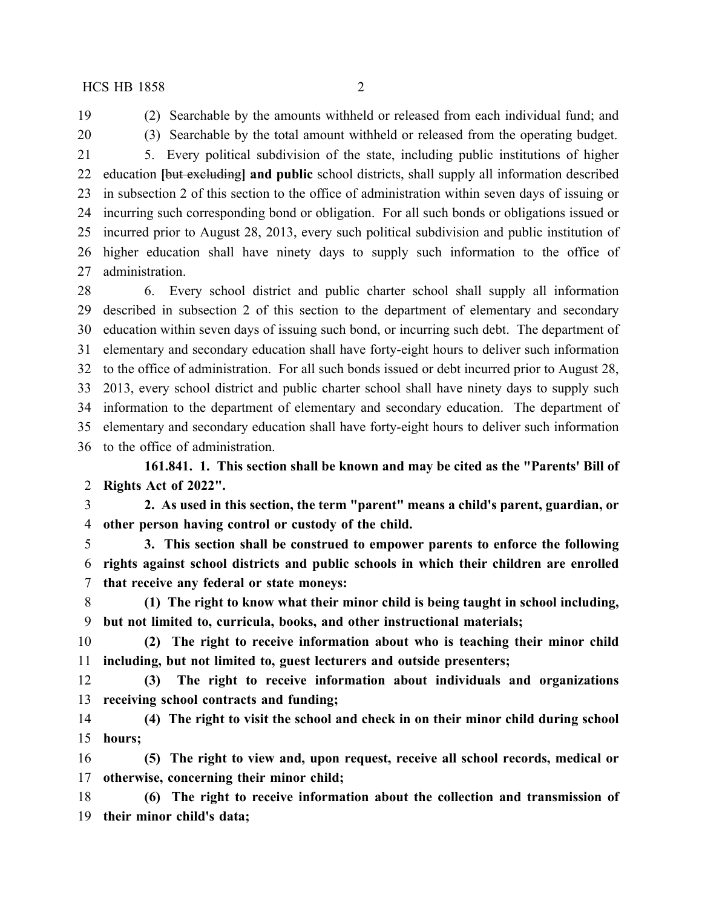(2) Searchable by the amounts withheld or released from each individual fund; and (3) Searchable by the total amount withheld or released from the operating budget.

 5. Every political subdivision of the state, including public institutions of higher education **[**but excluding**] and public** school districts, shall supply all information described in subsection 2 of this section to the office of administration within seven days of issuing or incurring such corresponding bond or obligation. For all such bonds or obligations issued or incurred prior to August 28, 2013, every such political subdivision and public institution of higher education shall have ninety days to supply such information to the office of administration.

 6. Every school district and public charter school shall supply all information described in subsection 2 of this section to the department of elementary and secondary education within seven days of issuing such bond, or incurring such debt. The department of elementary and secondary education shall have forty-eight hours to deliver such information to the office of administration. For all such bonds issued or debt incurred prior to August 28, 2013, every school district and public charter school shall have ninety days to supply such information to the department of elementary and secondary education. The department of elementary and secondary education shall have forty-eight hours to deliver such information to the office of administration.

**161.841. 1. This section shall be known and may be cited as the "Parents' Bill of Rights Act of 2022".**

 **2. As used in this section, the term "parent" means a child's parent, guardian, or other person having control or custody of the child.**

 **3. This section shall be construed to empower parents to enforce the following rights against school districts and public schools in which their children are enrolled that receive any federal or state moneys:**

 **(1) The right to know what their minor child is being taught in school including, but not limited to, curricula, books, and other instructional materials;**

 **(2) The right to receive information about who is teaching their minor child including, but not limited to, guest lecturers and outside presenters;**

 **(3) The right to receive information about individuals and organizations receiving school contracts and funding;**

 **(4) The right to visit the school and check in on their minor child during school hours;**

 **(5) The right to view and, upon request, receive all school records, medical or otherwise, concerning their minor child;**

 **(6) The right to receive information about the collection and transmission of their minor child's data;**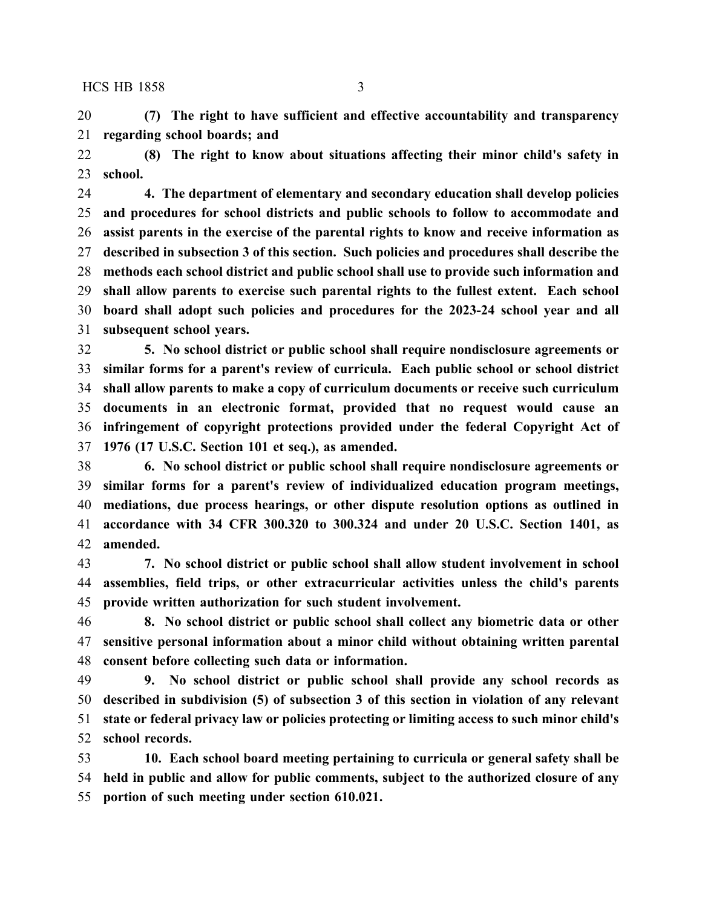**(7) The right to have sufficient and effective accountability and transparency regarding school boards; and**

 **(8) The right to know about situations affecting their minor child's safety in school.**

 **4. The department of elementary and secondary education shall develop policies and procedures for school districts and public schools to follow to accommodate and assist parents in the exercise of the parental rights to know and receive information as described in subsection 3 of this section. Such policies and procedures shall describe the methods each school district and public school shall use to provide such information and shall allow parents to exercise such parental rights to the fullest extent. Each school board shall adopt such policies and procedures for the 2023-24 school year and all subsequent school years.**

 **5. No school district or public school shall require nondisclosure agreements or similar forms for a parent's review of curricula. Each public school or school district shall allow parents to make a copy of curriculum documents or receive such curriculum documents in an electronic format, provided that no request would cause an infringement of copyright protections provided under the federal Copyright Act of 1976 (17 U.S.C. Section 101 et seq.), as amended.**

 **6. No school district or public school shall require nondisclosure agreements or similar forms for a parent's review of individualized education program meetings, mediations, due process hearings, or other dispute resolution options as outlined in accordance with 34 CFR 300.320 to 300.324 and under 20 U.S.C. Section 1401, as amended.**

 **7. No school district or public school shall allow student involvement in school assemblies, field trips, or other extracurricular activities unless the child's parents provide written authorization for such student involvement.**

 **8. No school district or public school shall collect any biometric data or other sensitive personal information about a minor child without obtaining written parental consent before collecting such data or information.**

 **9. No school district or public school shall provide any school records as described in subdivision (5) of subsection 3 of this section in violation of any relevant state or federal privacy law or policies protecting or limiting access to such minor child's school records.**

 **10. Each school board meeting pertaining to curricula or general safety shall be held in public and allow for public comments, subject to the authorized closure of any portion of such meeting under section 610.021.**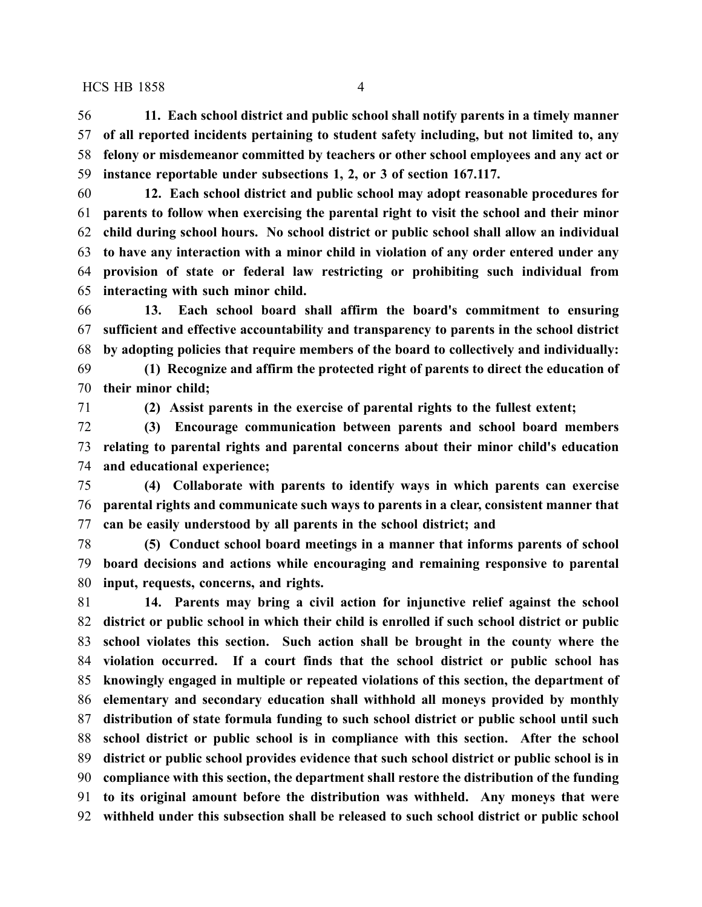#### HCS HB 1858 4

 **11. Each school district and public school shall notify parents in a timely manner of all reported incidents pertaining to student safety including, but not limited to, any felony or misdemeanor committed by teachers or other school employees and any act or instance reportable under subsections 1, 2, or 3 of section 167.117.**

 **12. Each school district and public school may adopt reasonable procedures for parents to follow when exercising the parental right to visit the school and their minor child during school hours. No school district or public school shall allow an individual to have any interaction with a minor child in violation of any order entered under any provision of state or federal law restricting or prohibiting such individual from interacting with such minor child.**

 **13. Each school board shall affirm the board's commitment to ensuring sufficient and effective accountability and transparency to parents in the school district by adopting policies that require members of the board to collectively and individually:**

 **(1) Recognize and affirm the protected right of parents to direct the education of their minor child;**

**(2) Assist parents in the exercise of parental rights to the fullest extent;**

 **(3) Encourage communication between parents and school board members relating to parental rights and parental concerns about their minor child's education and educational experience;**

 **(4) Collaborate with parents to identify ways in which parents can exercise parental rights and communicate such ways to parents in a clear, consistent manner that can be easily understood by all parents in the school district; and**

 **(5) Conduct school board meetings in a manner that informs parents of school board decisions and actions while encouraging and remaining responsive to parental input, requests, concerns, and rights.**

 **14. Parents may bring a civil action for injunctive relief against the school district or public school in which their child is enrolled if such school district or public school violates this section. Such action shall be brought in the county where the violation occurred. If a court finds that the school district or public school has knowingly engaged in multiple or repeated violations of this section, the department of elementary and secondary education shall withhold all moneys provided by monthly distribution of state formula funding to such school district or public school until such school district or public school is in compliance with this section. After the school district or public school provides evidence that such school district or public school is in compliance with this section, the department shall restore the distribution of the funding to its original amount before the distribution was withheld. Any moneys that were withheld under this subsection shall be released to such school district or public school**